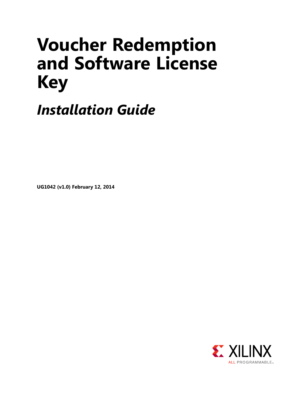# **Voucher Redemption and Software License Key**

*Installation Guide*

**UG1042 (v1.0) February 12, 2014**

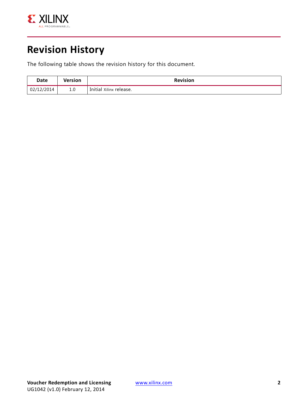

## **Revision History**

The following table shows the revision history for this document.

| Date       | Version | <b>Revision</b>         |
|------------|---------|-------------------------|
| 02/12/2014 | 1.0     | Initial Xilinx release. |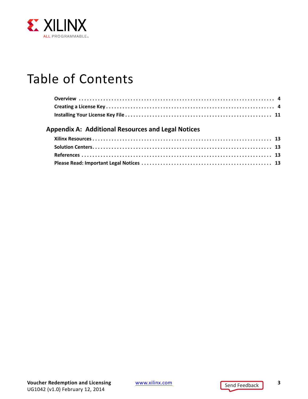

## Table of Contents

#### **[Appendix A: Additional Resources and Legal Notices](#page-12-0)**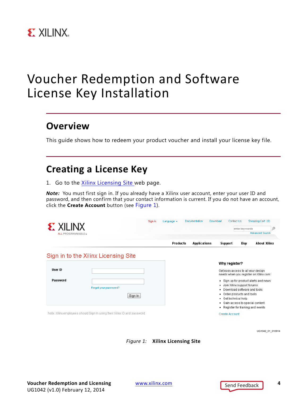

## Voucher Redemption and Software License Key Installation

### <span id="page-3-0"></span>**Overview**

This guide shows how to redeem your product voucher and install your license key file.

### <span id="page-3-1"></span>**Creating a License Key**

1. Go to the [Xilinx Licensing Site](https://secure.xilinx.com/webreg/login.do?oamProtectedResource=wh%3Dwww.xilinx.com%20wu%3D%2Fwebreg%2Fregister.do%3Fgroup%3Desd_oms%26tab%3DCreateLicense%20wo%3D1%20rh%3Dhttps%3A%2F%2Fsecure.xilinx.com%20ru%3D%252Fwebreg%252Fregister.do%20rq%3Dgroup%253Desd_oms%2526tab%253DCreateLicense) web page.

*Note:* You must first sign in. If you already have a Xilinx user account, enter your user ID and password, and then confirm that your contact information is current. If you do not have an account, click the **Create Account** button (see [Figure 1](#page-3-2)).

<span id="page-3-2"></span>

| <b>EXILINX</b><br><b>ALL PROGRAMMABLETM</b> |                                                                           |                 |  |                     |                                                                                                                                          | Ω<br>enter keywords<br><b>Advanced Search</b>                                                                           |                                                                                 |
|---------------------------------------------|---------------------------------------------------------------------------|-----------------|--|---------------------|------------------------------------------------------------------------------------------------------------------------------------------|-------------------------------------------------------------------------------------------------------------------------|---------------------------------------------------------------------------------|
|                                             |                                                                           | <b>Products</b> |  | <b>Applications</b> | Support                                                                                                                                  | <b>Buy</b>                                                                                                              | <b>About Xilinx</b>                                                             |
|                                             | Sign in to the Xilinx Licensing Site                                      |                 |  |                     |                                                                                                                                          |                                                                                                                         |                                                                                 |
| <b>User ID</b><br>Password                  | Forgot your password?<br>Sign In                                          |                 |  |                     | Why register?<br>Get easy access to all your design<br>٠<br>٠<br>٠<br>Get technical help<br>٠<br>٠<br>• Register for training and events | Join Xilinx support forums<br>Download software and tools<br>Order products and tools<br>Gain access to special content | needs when you register on Xilinx.com:<br>· Sign up for product alerts and news |
|                                             | Note: Xilinx employees should Sign In using their Xilinx ID and password. |                 |  |                     | <b>Create Account</b>                                                                                                                    |                                                                                                                         |                                                                                 |

*Figure 1:* **Xilinx Licensing Site**

UG1042\_01\_010914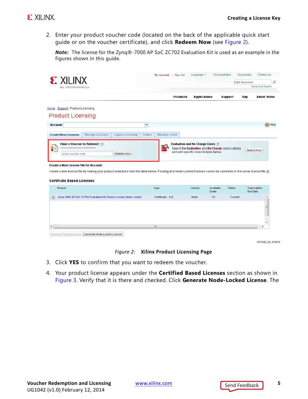2. Enter your product voucher code (located on the back of the applicable quick start guide or on the voucher certificate), and click **Redeem Now** (see [Figure 2](#page-4-0)).

*Note:* The license for the Zynq®-7000 AP SoC ZC702 Evaluation Kit is used as an example in the figures shown in this guide.

<span id="page-4-0"></span>

| <b>EXILINX</b>                                                                                                                                                                                                      |                        |                                                                                                                                       |           |                | enter keywords         | Ω             |
|---------------------------------------------------------------------------------------------------------------------------------------------------------------------------------------------------------------------|------------------------|---------------------------------------------------------------------------------------------------------------------------------------|-----------|----------------|------------------------|---------------|
| <b>ALL PROGRAMMABLETM</b>                                                                                                                                                                                           |                        |                                                                                                                                       |           |                | <b>Advanced Search</b> |               |
|                                                                                                                                                                                                                     | <b>Products</b>        | <b>Applications</b>                                                                                                                   |           | <b>Support</b> | Buy                    | About Xilinx  |
| Home: Support: Product Licensing                                                                                                                                                                                    |                        |                                                                                                                                       |           |                |                        |               |
| <b>Product Licensing</b>                                                                                                                                                                                            |                        |                                                                                                                                       |           |                |                        |               |
| <b>Account:</b>                                                                                                                                                                                                     | v                      |                                                                                                                                       |           |                |                        | <b>O</b> Help |
| <b>Create New Licenses</b><br>Manage Licenses<br>Legacy Licensing                                                                                                                                                   | Manage Users<br>Orders |                                                                                                                                       |           |                |                        |               |
| Have a Voucher to Redeem? ?<br>XXXX-XXXXXX-XXXX-XXXXXXXXX<br>Redeem Now<br>enter voucher code                                                                                                                       | <u>eg</u>              | <b>Evaluation and No Charge Cores ?</b><br>Search the Evaluation and No Charge cores catalog<br>and add specific cores to table below |           |                | Search Now             |               |
| <b>Create a New License File for Account:</b><br>Create a new license file by making your product selections from the table below. Floating and Node-Locked licenses cannot be combined in the same license file. ? |                        |                                                                                                                                       |           |                |                        |               |
|                                                                                                                                                                                                                     |                        |                                                                                                                                       | Available | Status         | Subscription           |               |
| Product                                                                                                                                                                                                             | Type                   | License                                                                                                                               | Seats     |                | End Date               |               |
| <b>Certifcate Based Licenses</b><br>Zyng-7000 AP SoC ZC702 Evaluation Kit, Device Locked, Node Locked<br>$\overline{\mathbf{v}}$                                                                                    | Certificate - Full     | Node                                                                                                                                  | 1/1       | Current        |                        |               |
|                                                                                                                                                                                                                     | m.                     |                                                                                                                                       |           |                |                        | Ξ             |

UG1042\_02\_010914

#### *Figure 2:* **Xilinx Product Licensing Page**

- 3. Click **YES** to confirm that you want to redeem the voucher.
- 4. Your product license appears under the **Certified Based Licenses** section as shown in [Figure 3.](#page-5-0) Verify that it is there and checked. Click **Generate Node-Locked License**. The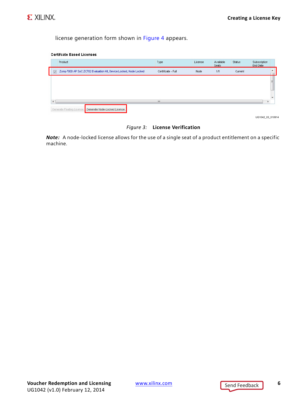

license generation form shown in [Figure 4](#page-6-0) appears.

<span id="page-5-0"></span>

| <b>Certifcate Based Licenses</b> |  |
|----------------------------------|--|
|                                  |  |

|                         | Product                                                           | Type               | License | Available<br>Seats | Status  | Subscription<br>End Date |
|-------------------------|-------------------------------------------------------------------|--------------------|---------|--------------------|---------|--------------------------|
| $\overline{\mathsf{v}}$ | Zynq-7000 AP SoC ZC702 Evaluation Kit, Device Locked, Node Locked | Certificate - Full | Node    | 1/1                | Current |                          |
|                         |                                                                   |                    |         |                    |         | Ξ                        |
|                         |                                                                   |                    |         |                    |         |                          |
|                         |                                                                   |                    |         |                    |         |                          |

UG1042\_03\_010914

#### *Figure 3:* **License Verification**

*Note:* A node-locked license allows for the use of a single seat of a product entitlement on a specific machine.

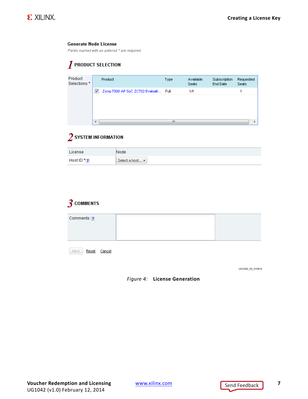#### <span id="page-6-0"></span>**Generate Node License**

Fields marked with an asterisk \* are required.

### $\boldsymbol{I}$  product selection

| Product<br>Selections * |                          | Product                              | <b>Type</b> | Available<br>Seats | Subscription<br>End Date | Requested<br><b>Seats</b> |
|-------------------------|--------------------------|--------------------------------------|-------------|--------------------|--------------------------|---------------------------|
|                         | $\overline{\mathcal{L}}$ | Zyng-7000 AP SoC ZC702 Evaluati Full |             | 1Л                 |                          | 4                         |
|                         |                          |                                      |             |                    |                          |                           |
|                         |                          |                                      |             |                    |                          |                           |
|                         |                          |                                      |             |                    |                          |                           |
|                         |                          |                                      |             |                    |                          |                           |
|                         | ∢                        |                                      | Ш           |                    |                          |                           |

#### $2$  system information

| License        | Node                  |
|----------------|-----------------------|
| Host ID $^*$ ? | Select a host $\star$ |

#### **3** COMMENTS

| Comments ?                            |  |
|---------------------------------------|--|
| Next<br><u>Reset</u><br><u>Cancel</u> |  |

UG1042\_04\_010914

#### *Figure 4:* **License Generation**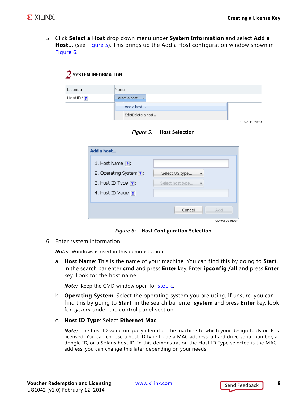5. Click **Select a Host** drop down menu under **System Information** and select **Add a Host…** (see [Figure 5](#page-7-1)). This brings up the Add a Host configuration window shown in [Figure 6.](#page-7-0)

<span id="page-7-1"></span>

| $2$ system information  |                          |                  |
|-------------------------|--------------------------|------------------|
| License                 | Node                     |                  |
| Host ID $*_{\boxed{?}}$ | Select a host v          |                  |
|                         | Add a host               |                  |
|                         | Edit/Delete a host       |                  |
|                         |                          | UG1042 05 010914 |
|                         | Figure 5: Host Selection |                  |

<span id="page-7-0"></span>

| Add a host                |                  |
|---------------------------|------------------|
| 1. Host Name $\sqrt{?}$ : |                  |
| 2. Operating System ?:    | Select OS type   |
| 3. Host ID Type ?:        | Select host type |
| 4. Host ID Value ?        |                  |
|                           |                  |
|                           | Cancel<br>Add    |
|                           | UG1042 06 010914 |

*Figure 6:* **Host Configuration Selection**

6. Enter system information:

*Note:* Windows is used in this demonstration.

a. **Host Name**: This is the name of your machine. You can find this by going to **Start**, in the search bar enter **cmd** and press **Enter** key. Enter **ipconfig /all** and press **Enter** key. Look for the host name.

*Note:* Keep the CMD window open for [step c](#page-7-2).

- b. **Operating System**: Select the operating system you are using. If unsure, you can find this by going to **Start**, in the search bar enter **system** and press **Enter** key, look for *system* under the control panel section.
- <span id="page-7-2"></span>c. **Host ID Type**: Select **Ethernet Mac**.

*Note:* The host ID value uniquely identifies the machine to which your design tools or IP is licensed. You can choose a host ID type to be a MAC address, a hard drive serial number, a dongle ID, or a Solaris host ID. In this demonstration the Host ID Type selected is the MAC address; you can change this later depending on your needs.

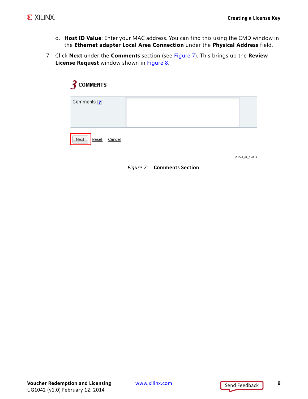- d. **Host ID Value**: Enter your MAC address. You can find this using the CMD window in the **Ethernet adapter Local Area Connection** under the **Physical Address** field.
- <span id="page-8-0"></span>7. Click **Next** under the **Comments** section (see [Figure 7](#page-8-0)). This brings up the **Review License Request** window shown in [Figure 8](#page-9-0).

| $3$ comments             |  |
|--------------------------|--|
| Comments ?               |  |
| Next.<br>Reset<br>Cancel |  |

UG1042 07 010914

*Figure 7:* **Comments Section**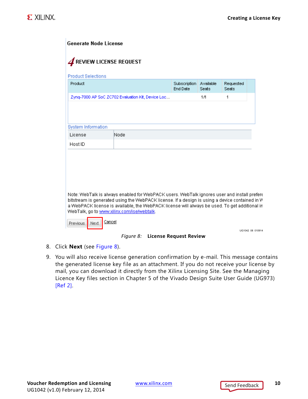<span id="page-9-0"></span>

|      | End Date                                          | <b>Seats</b> | <b>Seats</b> |
|------|---------------------------------------------------|--------------|--------------|
|      |                                                   | 1/1          | 1            |
|      |                                                   |              |              |
|      |                                                   |              |              |
|      |                                                   |              |              |
| Node |                                                   |              |              |
|      |                                                   |              |              |
|      |                                                   |              |              |
|      |                                                   |              |              |
|      |                                                   |              |              |
|      |                                                   |              |              |
|      |                                                   |              |              |
|      | Zyng-7000 AP SoC ZC702 Evaluation Kit, Device Loc |              |              |



- 8. Click **Next** (see [Figure 8](#page-9-0)).
- 9. You will also receive license generation confirmation by e-mail. This message contains the generated license key file as an attachment. If you do not receive your license by mail, you can download it directly from the Xilinx Licensing Site. See the Managing Licence Key files section in Chapter 5 of the Vivado Design Suite User Guide (UG973) [\[Ref 2\]](#page-12-5).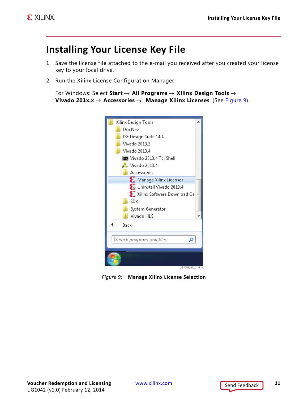## <span id="page-10-0"></span>**Installing Your License Key File**

- 1. Save the license file attached to the e-mail you received after you created your license key to your local drive.
- 2. Run the Xilinx License Configuration Manager:

```
For Windows: Select Start → All Programs → Xilinx Design Tools → 
Vivado 201x.x → Accessories → Manage Xilinx Licenses. (See Figure 9).
```


*Figure 9:* **Manage Xilinx License Selection**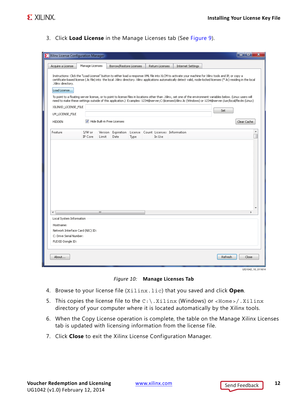3. Click **Load License** in the Manage Licenses tab (See [Figure 9\)](#page-10-1).

| Manage Licenses<br>Acquire a License<br>Borrow/Restore Licenses<br>Return Licenses<br>Internet Settings<br>Instructions: Click the "Load License" button to either load a response XML file into XLCM to activate your machine for Xilinx tools and IP, or copy a<br>certificate-based license (.lic file) into the local .Xilinx directory. Xilinx applications automatically detect valid, node-locked licenses (*.lic) residing in the local<br>.Xilinx directory.<br>Load License<br>To point to a floating server license, or to point to license files in locations other than .Xilinx, set one of the environment variables below. (Linux users will<br>need to make these settings outside of this application.) Examples: 1234@server;C:\licenses\Xilinx.lic (Windows) or 1234@server:/usr/local/flexlm (Linux)<br>XILINXD_LICENSE_FILE<br>Set<br>LM_LICENSE_FILE<br>Hide Built-in Free Licenses<br>Clear Cache<br><b>HIDDEN</b><br>Feature<br>S/W or<br>Version<br>Expiration License Count Licenses Information<br>IP Core<br>Limit<br>Date<br>In Use<br><b>Type</b><br>⊣<br>m.<br>Local System Information<br>Hostname:<br>Network Interface Card (NIC) ID:<br>C: Drive Serial Number:<br>FLEXID Dongle ID:<br>Refresh<br>Close<br>About | Xilinx License Configuration Manager |  |  |  |  |  | o<br>- | x |
|------------------------------------------------------------------------------------------------------------------------------------------------------------------------------------------------------------------------------------------------------------------------------------------------------------------------------------------------------------------------------------------------------------------------------------------------------------------------------------------------------------------------------------------------------------------------------------------------------------------------------------------------------------------------------------------------------------------------------------------------------------------------------------------------------------------------------------------------------------------------------------------------------------------------------------------------------------------------------------------------------------------------------------------------------------------------------------------------------------------------------------------------------------------------------------------------------------------------------------------------------|--------------------------------------|--|--|--|--|--|--------|---|
|                                                                                                                                                                                                                                                                                                                                                                                                                                                                                                                                                                                                                                                                                                                                                                                                                                                                                                                                                                                                                                                                                                                                                                                                                                                      |                                      |  |  |  |  |  |        |   |
|                                                                                                                                                                                                                                                                                                                                                                                                                                                                                                                                                                                                                                                                                                                                                                                                                                                                                                                                                                                                                                                                                                                                                                                                                                                      |                                      |  |  |  |  |  |        |   |
|                                                                                                                                                                                                                                                                                                                                                                                                                                                                                                                                                                                                                                                                                                                                                                                                                                                                                                                                                                                                                                                                                                                                                                                                                                                      |                                      |  |  |  |  |  |        |   |
|                                                                                                                                                                                                                                                                                                                                                                                                                                                                                                                                                                                                                                                                                                                                                                                                                                                                                                                                                                                                                                                                                                                                                                                                                                                      |                                      |  |  |  |  |  |        |   |
|                                                                                                                                                                                                                                                                                                                                                                                                                                                                                                                                                                                                                                                                                                                                                                                                                                                                                                                                                                                                                                                                                                                                                                                                                                                      |                                      |  |  |  |  |  |        |   |
|                                                                                                                                                                                                                                                                                                                                                                                                                                                                                                                                                                                                                                                                                                                                                                                                                                                                                                                                                                                                                                                                                                                                                                                                                                                      |                                      |  |  |  |  |  |        |   |
|                                                                                                                                                                                                                                                                                                                                                                                                                                                                                                                                                                                                                                                                                                                                                                                                                                                                                                                                                                                                                                                                                                                                                                                                                                                      |                                      |  |  |  |  |  |        |   |
|                                                                                                                                                                                                                                                                                                                                                                                                                                                                                                                                                                                                                                                                                                                                                                                                                                                                                                                                                                                                                                                                                                                                                                                                                                                      |                                      |  |  |  |  |  |        |   |
|                                                                                                                                                                                                                                                                                                                                                                                                                                                                                                                                                                                                                                                                                                                                                                                                                                                                                                                                                                                                                                                                                                                                                                                                                                                      |                                      |  |  |  |  |  |        |   |

*Figure 10:* **Manage Licenses Tab**

- 4. Browse to your license file (Xilinx.lic) that you saved and click **Open**.
- 5. This copies the license file to the  $C:\ X$ ilinx (Windows) or <Home>/.Xilinx directory of your computer where it is located automatically by the Xilinx tools.
- 6. When the Copy License operation is complete, the table on the Manage Xilinx Licenses tab is updated with licensing information from the license file.
- 7. Click **Close** to exit the Xilinx License Configuration Manager.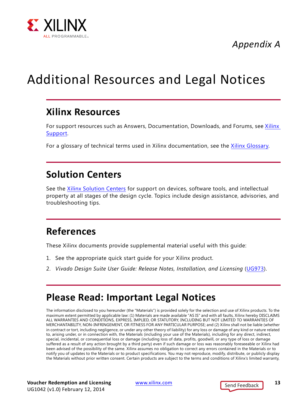

*Appendix A*

## <span id="page-12-0"></span>Additional Resources and Legal Notices

### <span id="page-12-1"></span>**Xilinx Resources**

For support resources such as Answers, Documentation, Downloads, and Forums, see [Xilinx](http://www.xilinx.com/support)  [Support.](http://www.xilinx.com/support)

For a glossary of technical terms used in Xilinx documentation, see the [Xilinx Glossary.](http://www.xilinx.com/company/terms.htm)

## <span id="page-12-2"></span>**Solution Centers**

See the [Xilinx Solution Centers](http://www.xilinx.com/support/solcenters.htm) for support on devices, software tools, and intellectual property at all stages of the design cycle. Topics include design assistance, advisories, and troubleshooting tips.

## <span id="page-12-3"></span>**References**

These Xilinx documents provide supplemental material useful with this guide:

- 1. See the appropriate quick start guide for your Xilinx product.
- <span id="page-12-5"></span>2. *Vivado Design Suite User Guide: Release Notes, Installation, and Licensing* ([UG973\)](http://www.xilinx.com/cgi-bin/docs/rdoc?v=latest;t=release+notes).

## <span id="page-12-4"></span>**Please Read: Important Legal Notices**

The information disclosed to you hereunder (the "Materials") is provided solely for the selection and use of Xilinx products. To the maximum extent permitted by applicable law: (1) Materials are made available "AS IS" and with all faults, Xilinx hereby DISCLAIMS ALL WARRANTIES AND CONDITIONS, EXPRESS, IMPLIED, OR STATUTORY, INCLUDING BUT NOT LIMITED TO WARRANTIES OF MERCHANTABILITY, NON-INFRINGEMENT, OR FITNESS FOR ANY PARTICULAR PURPOSE; and (2) Xilinx shall not be liable (whether in contract or tort, including negligence, or under any other theory of liability) for any loss or damage of any kind or nature related to, arising under, or in connection with, the Materials (including your use of the Materials), including for any direct, indirect, special, incidental, or consequential loss or damage (including loss of data, profits, goodwill, or any type of loss or damage suffered as a result of any action brought by a third party) even if such damage or loss was reasonably foreseeable or Xilinx had been advised of the possibility of the same. Xilinx assumes no obligation to correct any errors contained in the Materials or to notify you of updates to the Materials or to product specifications. You may not reproduce, modify, distribute, or publicly display the Materials without prior written consent. Certain products are subject to the terms and conditions of Xilinx's limited warranty,

**Voucher Redemption and Licensing** [www.xilinx.com](http://www.xilinx.com) **13** UG1042 (v1.0) February 12, 2014